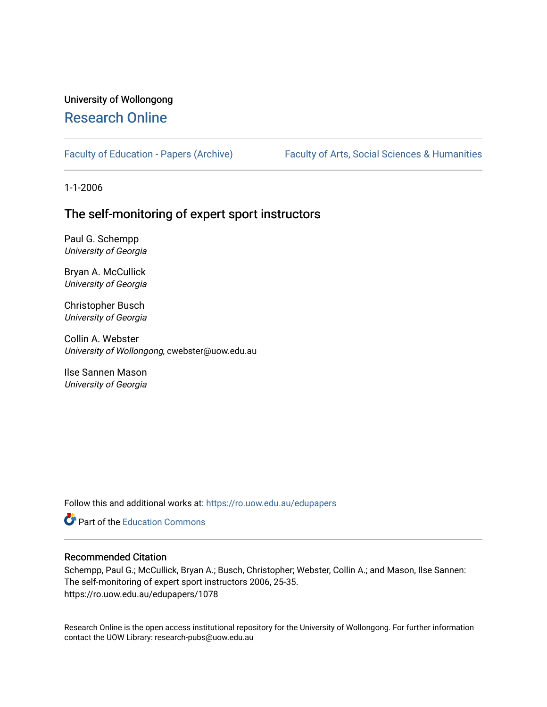# University of Wollongong [Research Online](https://ro.uow.edu.au/)

[Faculty of Education - Papers \(Archive\)](https://ro.uow.edu.au/edupapers) Faculty of Arts, Social Sciences & Humanities

1-1-2006

## The self-monitoring of expert sport instructors

Paul G. Schempp University of Georgia

Bryan A. McCullick University of Georgia

Christopher Busch University of Georgia

Collin A. Webster University of Wollongong, cwebster@uow.edu.au

Ilse Sannen Mason University of Georgia

Follow this and additional works at: [https://ro.uow.edu.au/edupapers](https://ro.uow.edu.au/edupapers?utm_source=ro.uow.edu.au%2Fedupapers%2F1078&utm_medium=PDF&utm_campaign=PDFCoverPages) 

**C** Part of the [Education Commons](http://network.bepress.com/hgg/discipline/784?utm_source=ro.uow.edu.au%2Fedupapers%2F1078&utm_medium=PDF&utm_campaign=PDFCoverPages)

## Recommended Citation

Schempp, Paul G.; McCullick, Bryan A.; Busch, Christopher; Webster, Collin A.; and Mason, Ilse Sannen: The self-monitoring of expert sport instructors 2006, 25-35. https://ro.uow.edu.au/edupapers/1078

Research Online is the open access institutional repository for the University of Wollongong. For further information contact the UOW Library: research-pubs@uow.edu.au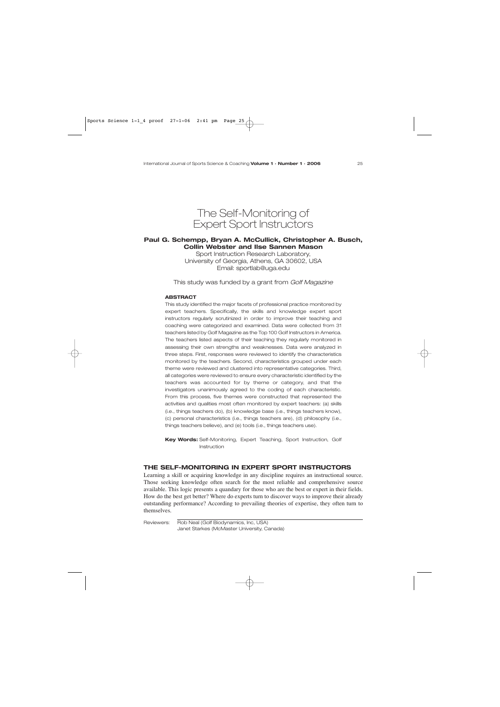Sports Science  $1-1-4$  proof  $27-1-06$  2:41 pm Page  $25/$ 

International Journal of Sports Science & Coaching Volume  $1 \cdot$  Number  $1 \cdot 2006$ 

# The Self-Monitoring of **Expert Sport Instructors**

### Paul G. Schempp, Bryan A. McCullick, Christopher A. Busch, **Collin Webster and Ilse Sannen Mason**

Sport Instruction Research Laboratory, University of Georgia, Athens, GA 30602, USA Email: sportlab@uga.edu

This study was funded by a grant from Golf Magazine

#### **ABSTRACT**

This study identified the major facets of professional practice monitored by expert teachers. Specifically, the skills and knowledge expert sport instructors regularly scrutinized in order to improve their teaching and coaching were categorized and examined. Data were collected from 31 teachers listed by Golf Magazine as the Top 100 Golf Instructors in America. The teachers listed aspects of their teaching they regularly monitored in assessing their own strengths and weaknesses. Data were analyzed in three steps. First, responses were reviewed to identify the characteristics monitored by the teachers. Second, characteristics grouped under each theme were reviewed and clustered into representative categories. Third, all categories were reviewed to ensure every characteristic identified by the teachers was accounted for by theme or category, and that the investigators unanimously agreed to the coding of each characteristic. From this process, five themes were constructed that represented the activities and qualities most often monitored by expert teachers: (a) skills (i.e., things teachers do), (b) knowledge base (i.e., things teachers know), (c) personal characteristics (i.e., things teachers are), (d) philosophy (i.e., things teachers believe), and (e) tools (i.e., things teachers use).

Key Words: Self-Monitoring, Expert Teaching, Sport Instruction, Golf Instruction

#### THE SELF-MONITORING IN EXPERT SPORT INSTRUCTORS

Learning a skill or acquiring knowledge in any discipline requires an instructional source. Those seeking knowledge often search for the most reliable and comprehensive source available. This logic presents a quandary for those who are the best or expert in their fields. How do the best get better? Where do experts turn to discover ways to improve their already outstanding performance? According to prevailing theories of expertise, they often turn to themselves.

Rob Neal (Golf Biodynamics, Inc, USA) Reviewers: Janet Starkes (McMaster University, Canada)

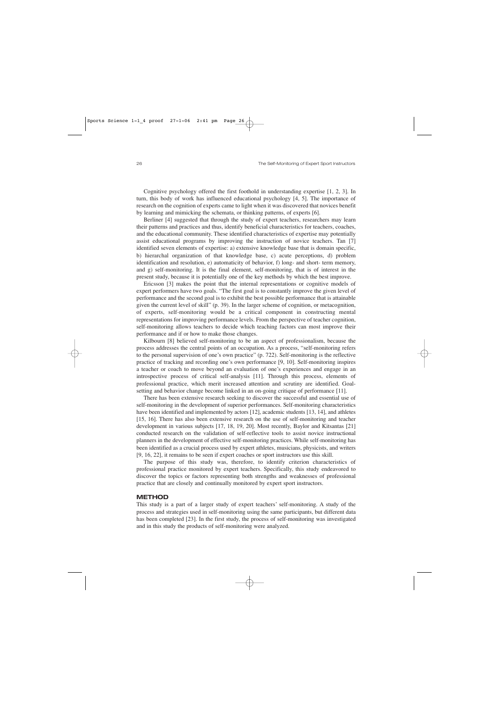Sports Science  $1-1-4$  proof  $27-1-06$  $2:41$  pm

The Self-Monitoring of Expert Sport Instructors

Cognitive psychology offered the first foothold in understanding expertise  $[1, 2, 3]$ . In turn, this body of work has influenced educational psychology [4, 5]. The importance of research on the cognition of experts came to light when it was discovered that novices benefit by learning and mimicking the schemata, or thinking patterns, of experts [6].

Berliner [4] suggested that through the study of expert teachers, researchers may learn their patterns and practices and thus, identify beneficial characteristics for teachers, coaches, and the educational community. These identified characteristics of expertise may potentially assist educational programs by improving the instruction of novice teachers. Tan [7] identified seven elements of expertise: a) extensive knowledge base that is domain specific, b) hierarchal organization of that knowledge base, c) acute perceptions, d) problem identification and resolution, e) automaticity of behavior, f) long- and short- term memory, and g) self-monitoring. It is the final element, self-monitoring, that is of interest in the present study, because it is potentially one of the key methods by which the best improve.

Ericsson [3] makes the point that the internal representations or cognitive models of expert performers have two goals. "The first goal is to constantly improve the given level of performance and the second goal is to exhibit the best possible performance that is attainable given the current level of skill" (p. 39). In the larger scheme of cognition, or metacognition, of experts, self-monitoring would be a critical component in constructing mental representations for improving performance levels. From the perspective of teacher cognition, self-monitoring allows teachers to decide which teaching factors can most improve their performance and if or how to make those changes.

Kilbourn [8] believed self-monitoring to be an aspect of professionalism, because the process addresses the central points of an occupation. As a process, "self-monitoring refers to the personal supervision of one's own practice" (p. 722). Self-monitoring is the reflective practice of tracking and recording one's own performance [9, 10]. Self-monitoring inspires a teacher or coach to move beyond an evaluation of one's experiences and engage in an introspective process of critical self-analysis [11]. Through this process, elements of professional practice, which merit increased attention and scrutiny are identified. Goalsetting and behavior change become linked in an on-going critique of performance [11].

There has been extensive research seeking to discover the successful and essential use of self-monitoring in the development of superior performances. Self-monitoring characteristics have been identified and implemented by actors [12], academic students [13, 14], and athletes [15, 16]. There has also been extensive research on the use of self-monitoring and teacher development in various subjects [17, 18, 19, 20]. Most recently, Baylor and Kitsantas [21] conducted research on the validation of self-reflective tools to assist novice instructional planners in the development of effective self-monitoring practices. While self-monitoring has been identified as a crucial process used by expert athletes, musicians, physicists, and writers [9, 16, 22], it remains to be seen if expert coaches or sport instructors use this skill.

The purpose of this study was, therefore, to identify criterion characteristics of professional practice monitored by expert teachers. Specifically, this study endeavored to discover the topics or factors representing both strengths and weaknesses of professional practice that are closely and continually monitored by expert sport instructors.

#### **METHOD**

This study is a part of a larger study of expert teachers' self-monitoring. A study of the process and strategies used in self-monitoring using the same participants, but different data has been completed [23]. In the first study, the process of self-monitoring was investigated and in this study the products of self-monitoring were analyzed.

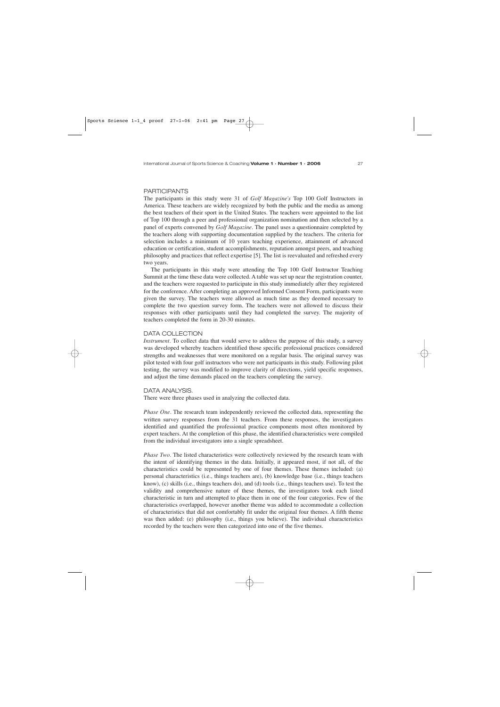Sports Science  $1-1-4$  proof  $27-1-06$ 2:41 pm

International Journal of Sports Science & Coaching Volume 1 · Number 1 · 2006

#### **PARTICIPANTS**

The participants in this study were 31 of Golf Magazine's Top 100 Golf Instructors in America. These teachers are widely recognized by both the public and the media as among the best teachers of their sport in the United States. The teachers were appointed to the list of Top 100 through a peer and professional organization nomination and then selected by a panel of experts convened by *Golf Magazine*. The panel uses a questionnaire completed by the teachers along with supporting documentation supplied by the teachers. The criteria for selection includes a minimum of 10 years teaching experience, attainment of advanced education or certification, student accomplishments, reputation amongst peers, and teaching philosophy and practices that reflect expertise [5]. The list is reevaluated and refreshed every two years.

The participants in this study were attending the Top 100 Golf Instructor Teaching Summit at the time these data were collected. A table was set up near the registration counter, and the teachers were requested to participate in this study immediately after they registered for the conference. After completing an approved Informed Consent Form, participants were given the survey. The teachers were allowed as much time as they deemed necessary to complete the two question survey form. The teachers were not allowed to discuss their responses with other participants until they had completed the survey. The majority of teachers completed the form in 20-30 minutes.

#### DATA COLLECTION

*Instrument*. To collect data that would serve to address the purpose of this study, a survey was developed whereby teachers identified those specific professional practices considered strengths and weaknesses that were monitored on a regular basis. The original survey was pilot tested with four golf instructors who were not participants in this study. Following pilot testing, the survey was modified to improve clarity of directions, yield specific responses, and adjust the time demands placed on the teachers completing the survey.

#### DATA ANALYSIS.

There were three phases used in analyzing the collected data.

*Phase One.* The research team independently reviewed the collected data, representing the written survey responses from the 31 teachers. From these responses, the investigators identified and quantified the professional practice components most often monitored by expert teachers. At the completion of this phase, the identified characteristics were compiled from the individual investigators into a single spreadsheet.

*Phase Two.* The listed characteristics were collectively reviewed by the research team with the intent of identifying themes in the data. Initially, it appeared most, if not all, of the characteristics could be represented by one of four themes. These themes included: (a) personal characteristics (i.e., things teachers are), (b) knowledge base (i.e., things teachers know), (c) skills (i.e., things teachers do), and (d) tools (i.e., things teachers use). To test the validity and comprehensive nature of these themes, the investigators took each listed characteristic in turn and attempted to place them in one of the four categories. Few of the characteristics overlapped, however another theme was added to accommodate a collection of characteristics that did not comfortably fit under the original four themes. A fifth theme was then added: (e) philosophy (i.e., things you believe). The individual characteristics recorded by the teachers were then categorized into one of the five themes.

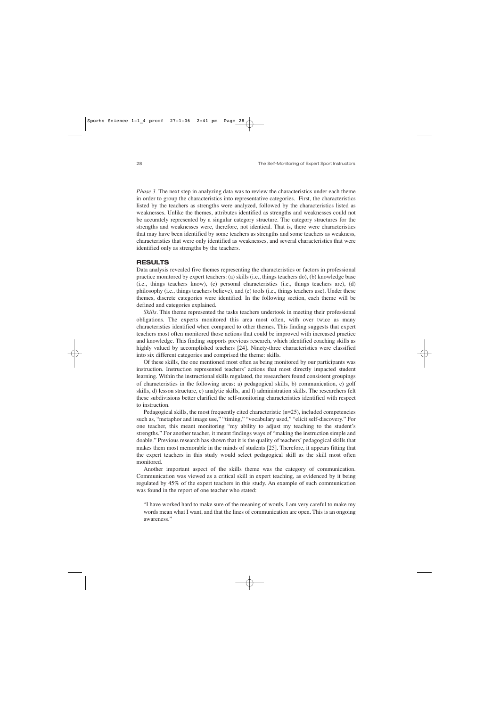Sports Science 1-1\_4 proof 27-1-06 2:41 pm

The Self-Monitoring of Expert Sport Instructors

*Phase 3.* The next step in analyzing data was to review the characteristics under each theme in order to group the characteristics into representative categories. First, the characteristics listed by the teachers as strengths were analyzed, followed by the characteristics listed as weaknesses. Unlike the themes, attributes identified as strengths and weaknesses could not be accurately represented by a singular category structure. The category structures for the strengths and weaknesses were, therefore, not identical. That is, there were characteristics that may have been identified by some teachers as strengths and some teachers as weakness, characteristics that were only identified as weaknesses, and several characteristics that were identified only as strengths by the teachers.

#### **RESULTS**

Data analysis revealed five themes representing the characteristics or factors in professional practice monitored by expert teachers: (a) skills (i.e., things teachers do), (b) knowledge base (i.e., things teachers know), (c) personal characteristics (i.e., things teachers are), (d) philosophy (i.e., things teachers believe), and (e) tools (i.e., things teachers use). Under these themes, discrete categories were identified. In the following section, each theme will be defined and categories explained.

Skills. This theme represented the tasks teachers undertook in meeting their professional obligations. The experts monitored this area most often, with over twice as many characteristics identified when compared to other themes. This finding suggests that expert teachers most often monitored those actions that could be improved with increased practice and knowledge. This finding supports previous research, which identified coaching skills as highly valued by accomplished teachers [24]. Ninety-three characteristics were classified into six different categories and comprised the theme: skills.

Of these skills, the one mentioned most often as being monitored by our participants was instruction. Instruction represented teachers' actions that most directly impacted student learning. Within the instructional skills regulated, the researchers found consistent groupings of characteristics in the following areas: a) pedagogical skills, b) communication, c) golf skills, d) lesson structure, e) analytic skills, and f) administration skills. The researchers felt these subdivisions better clarified the self-monitoring characteristics identified with respect to instruction.

Pedagogical skills, the most frequently cited characteristic  $(n=25)$ , included competencies such as, "metaphor and image use," "timing," "vocabulary used," "elicit self-discovery." For one teacher, this meant monitoring "my ability to adjust my teaching to the student's strengths." For another teacher, it meant findings ways of "making the instruction simple and doable." Previous research has shown that it is the quality of teachers' pedagogical skills that makes them most memorable in the minds of students [25]. Therefore, it appears fitting that the expert teachers in this study would select pedagogical skill as the skill most often monitored.

Another important aspect of the skills theme was the category of communication. Communication was viewed as a critical skill in expert teaching, as evidenced by it being regulated by 45% of the expert teachers in this study. An example of such communication was found in the report of one teacher who stated:

"I have worked hard to make sure of the meaning of words. I am very careful to make my words mean what I want, and that the lines of communication are open. This is an ongoing awareness."

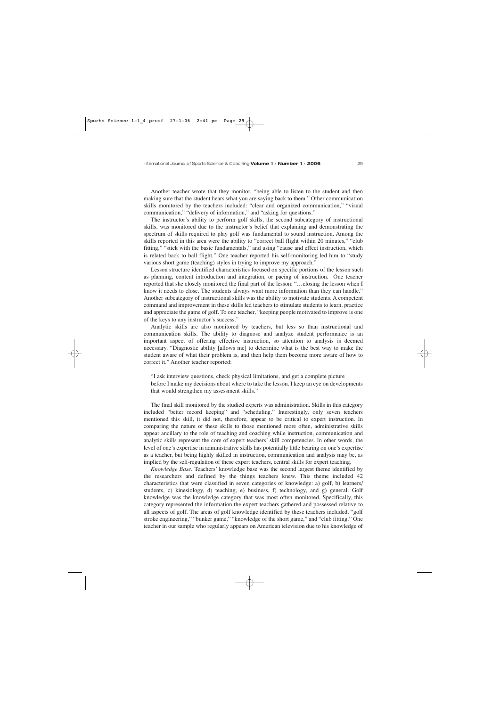Sports Science  $1-1-4$  proof  $27-1-06$ 2:41 pm

#### International Journal of Sports Science & Coaching Volume 1 · Number 1 · 2006

Another teacher wrote that they monitor, "being able to listen to the student and then making sure that the student hears what you are saying back to them." Other communication skills monitored by the teachers included: "clear and organized communication," "visual communication," "delivery of information," and "asking for questions."

The instructor's ability to perform golf skills, the second subcategory of instructional skills, was monitored due to the instructor's belief that explaining and demonstrating the spectrum of skills required to play golf was fundamental to sound instruction. Among the skills reported in this area were the ability to "correct ball flight within 20 minutes," "club fitting," "stick with the basic fundamentals," and using "cause and effect instruction, which is related back to ball flight." One teacher reported his self-monitoring led him to "study various short game (teaching) styles in trying to improve my approach."

Lesson structure identified characteristics focused on specific portions of the lesson such as planning, content introduction and integration, or pacing of instruction. One teacher reported that she closely monitored the final part of the lesson: "...closing the lesson when I know it needs to close. The students always want more information than they can handle." Another subcategory of instructional skills was the ability to motivate students. A competent command and improvement in these skills led teachers to stimulate students to learn, practice and appreciate the game of golf. To one teacher, "keeping people motivated to improve is one of the keys to any instructor's success."

Analytic skills are also monitored by teachers, but less so than instructional and communication skills. The ability to diagnose and analyze student performance is an important aspect of offering effective instruction, so attention to analysis is deemed necessary. "Diagnostic ability [allows me] to determine what is the best way to make the student aware of what their problem is, and then help them become more aware of how to correct it." Another teacher reported:

"I ask interview questions, check physical limitations, and get a complete picture before I make my decisions about where to take the lesson. I keep an eye on developments that would strengthen my assessment skills."

The final skill monitored by the studied experts was administration. Skills in this category included "better record keeping" and "scheduling." Interestingly, only seven teachers mentioned this skill, it did not, therefore, appear to be critical to expert instruction. In comparing the nature of these skills to those mentioned more often, administrative skills appear ancillary to the role of teaching and coaching while instruction, communication and analytic skills represent the core of expert teachers' skill competencies. In other words, the level of one's expertise in administrative skills has potentially little bearing on one's expertise as a teacher, but being highly skilled in instruction, communication and analysis may be, as implied by the self-regulation of these expert teachers, central skills for expert teaching.

Knowledge Base. Teachers' knowledge base was the second largest theme identified by the researchers and defined by the things teachers knew. This theme included 42 characteristics that were classified in seven categories of knowledge: a) golf, b) learners/ students, c) kinesiology, d) teaching, e) business, f) technology, and g) general. Golf knowledge was the knowledge category that was most often monitored. Specifically, this category represented the information the expert teachers gathered and possessed relative to all aspects of golf. The areas of golf knowledge identified by these teachers included, "golf stroke engineering," "bunker game," "knowledge of the short game," and "club fitting." One teacher in our sample who regularly appears on American television due to his knowledge of

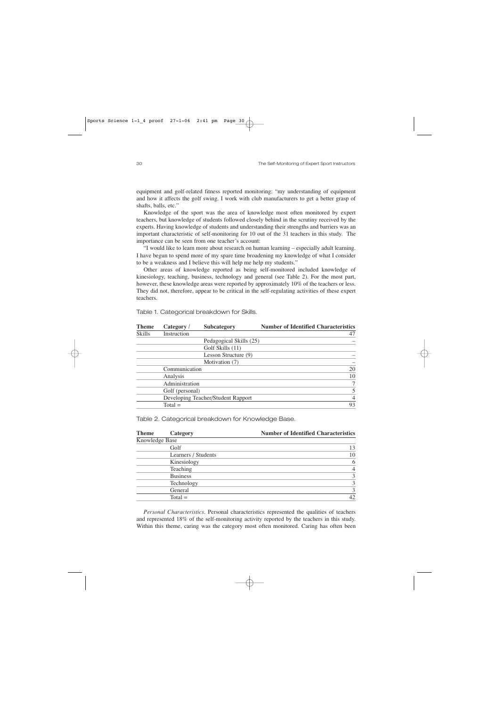Sports Science  $1-1-4$  proof  $27-1-06$  2:41 pm Page  $30$ 

The Self-Monitoring of Expert Sport Instructors

equipment and golf-related fitness reported monitoring: "my understanding of equipment and how it affects the golf swing. I work with club manufacturers to get a better grasp of shafts, balls, etc."

Knowledge of the sport was the area of knowledge most often monitored by expert teachers, but knowledge of students followed closely behind in the scrutiny received by the experts. Having knowledge of students and understanding their strengths and barriers was an important characteristic of self-monitoring for 10 out of the 31 teachers in this study. The importance can be seen from one teacher's account:

"I would like to learn more about research on human learning - especially adult learning. I have begun to spend more of my spare time broadening my knowledge of what I consider to be a weakness and I believe this will help me help my students."

Other areas of knowledge reported as being self-monitored included knowledge of kinesiology, teaching, business, technology and general (see Table 2). For the most part, however, these knowledge areas were reported by approximately 10% of the teachers or less. They did not, therefore, appear to be critical in the self-regulating activities of these expert teachers.

| Theme         | Category/       | Subcategory                        | <b>Number of Identified Characteristics</b> |
|---------------|-----------------|------------------------------------|---------------------------------------------|
| <b>Skills</b> | Instruction     |                                    | 47                                          |
|               |                 | Pedagogical Skills (25)            |                                             |
|               |                 | Golf Skills (11)                   |                                             |
|               |                 | Lesson Structure (9)               |                                             |
|               |                 | Motivation (7)                     |                                             |
|               | Communication   |                                    | 20                                          |
|               | Analysis        |                                    | 10                                          |
|               | Administration  |                                    |                                             |
|               | Golf (personal) |                                    |                                             |
|               |                 | Developing Teacher/Student Rapport | 4                                           |
|               | $Total =$       |                                    | 93                                          |

Table 1. Categorical breakdown for Skills.

Table 2. Categorical breakdown for Knowledge Base.

| <b>Theme</b>   | Category            | <b>Number of Identified Characteristics</b> |
|----------------|---------------------|---------------------------------------------|
| Knowledge Base |                     |                                             |
|                | Golf                | 13                                          |
|                | Learners / Students | 10                                          |
|                | Kinesiology         | 6                                           |
|                | Teaching            | 4                                           |
|                | <b>Business</b>     |                                             |
|                | Technology          |                                             |
|                | General             | $\mathbf 3$                                 |
|                | $Total =$           | 42                                          |

Personal Characteristics. Personal characteristics represented the qualities of teachers and represented 18% of the self-monitoring activity reported by the teachers in this study. Within this theme, caring was the category most often monitored. Caring has often been

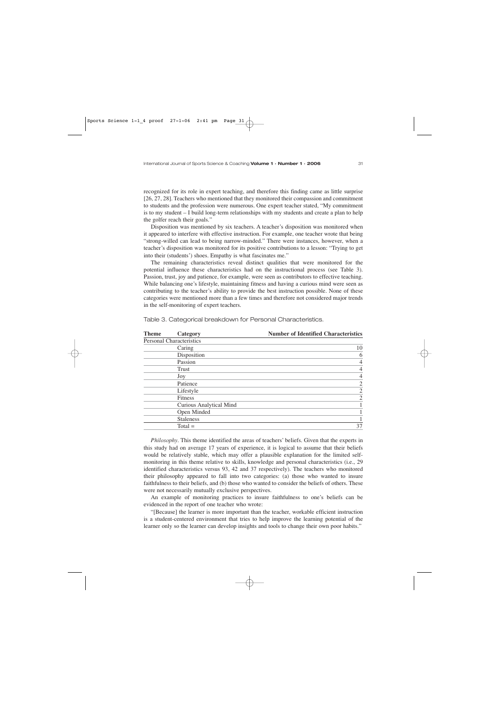Sports Science 1-1\_4 proof 27-1-06 2:41 pm

International Journal of Sports Science & Coaching Volume  $1 \cdot$  Number  $1 \cdot 2006$ 

recognized for its role in expert teaching, and therefore this finding came as little surprise [26, 27, 28]. Teachers who mentioned that they monitored their compassion and commitment to students and the profession were numerous. One expert teacher stated, "My commitment is to my student – I build long-term relationships with my students and create a plan to help the golfer reach their goals."

Disposition was mentioned by six teachers. A teacher's disposition was monitored when it appeared to interfere with effective instruction. For example, one teacher wrote that being "strong-willed can lead to being narrow-minded." There were instances, however, when a teacher's disposition was monitored for its positive contributions to a lesson: "Trying to get into their (students') shoes. Empathy is what fascinates me."

The remaining characteristics reveal distinct qualities that were monitored for the potential influence these characteristics had on the instructional process (see Table 3). Passion, trust, joy and patience, for example, were seen as contributors to effective teaching. While balancing one's lifestyle, maintaining fitness and having a curious mind were seen as contributing to the teacher's ability to provide the best instruction possible. None of these categories were mentioned more than a few times and therefore not considered major trends in the self-monitoring of expert teachers.

**Theme Number of Identified Characteristics** Category Personal Characteristics 10 Caring Disposition 6  $\overline{4}$ Passion  $\overline{4}$ Trust  $\overline{4}$ Joy  $\overline{2}$ Patience  $\overline{2}$ Lifestyle  $\overline{2}$ Fitness **Curious Analytical Mind**  $\mathbf{1}$  $\mathbf{1}$ Open Minded Staleness  $\mathbf{1}$ 37  $Total =$ 

Table 3. Categorical breakdown for Personal Characteristics.

Philosophy. This theme identified the areas of teachers' beliefs. Given that the experts in this study had on average 17 years of experience, it is logical to assume that their beliefs would be relatively stable, which may offer a plausible explanation for the limited selfmonitoring in this theme relative to skills, knowledge and personal characteristics (i.e., 29 identified characteristics versus 93, 42 and 37 respectively). The teachers who monitored their philosophy appeared to fall into two categories: (a) those who wanted to insure faithfulness to their beliefs, and (b) those who wanted to consider the beliefs of others. These were not necessarily mutually exclusive perspectives.

An example of monitoring practices to insure faithfulness to one's beliefs can be evidenced in the report of one teacher who wrote:

"[Because] the learner is more important than the teacher, workable efficient instruction is a student-centered environment that tries to help improve the learning potential of the learner only so the learner can develop insights and tools to change their own poor habits."

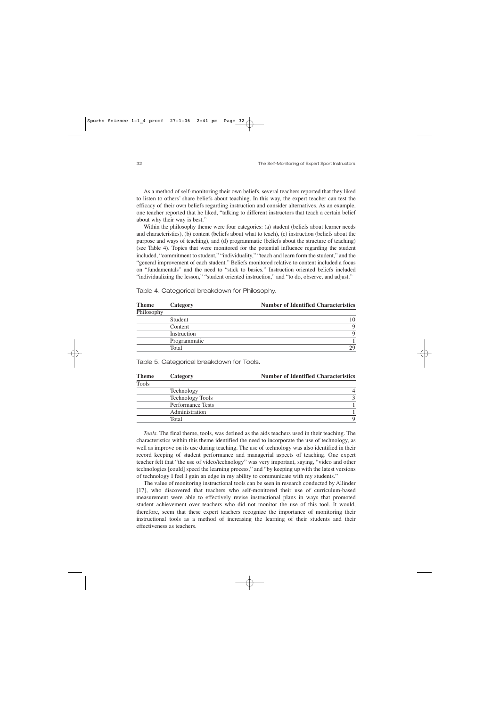Sports Science  $1-1-4$  proof  $27-1-06$  2:41 pm

The Self-Monitoring of Expert Sport Instructors

As a method of self-monitoring their own beliefs, several teachers reported that they liked to listen to others' share beliefs about teaching. In this way, the expert teacher can test the efficacy of their own beliefs regarding instruction and consider alternatives. As an example, one teacher reported that he liked, "talking to different instructors that teach a certain belief about why their way is best."

Within the philosophy theme were four categories: (a) student (beliefs about learner needs and characteristics), (b) content (beliefs about what to teach), (c) instruction (beliefs about the purpose and ways of teaching), and (d) programmatic (beliefs about the structure of teaching) (see Table 4). Topics that were monitored for the potential influence regarding the student included, "commitment to student," "individuality," "teach and learn form the student," and the "general improvement of each student." Beliefs monitored relative to content included a focus on "fundamentals" and the need to "stick to basics." Instruction oriented beliefs included "individualizing the lesson," "student oriented instruction," and "to do, observe, and adjust."

Table 4. Categorical breakdown for Philosophy.

| Theme      | Category     | <b>Number of Identified Characteristics</b> |  |
|------------|--------------|---------------------------------------------|--|
| Philosophy |              |                                             |  |
|            | Student      | 10                                          |  |
|            | Content      | $\mathbf Q$                                 |  |
|            | Instruction  |                                             |  |
|            | Programmatic |                                             |  |
|            | Total        | 29                                          |  |
|            |              |                                             |  |

Table 5. Categorical breakdown for Tools.

| Category                 | <b>Number of Identified Characteristics</b> |
|--------------------------|---------------------------------------------|
|                          |                                             |
| Technology               |                                             |
| <b>Technology Tools</b>  |                                             |
| <b>Performance Tests</b> |                                             |
| Administration           |                                             |
| Total                    | Q                                           |
|                          |                                             |

Tools. The final theme, tools, was defined as the aids teachers used in their teaching. The characteristics within this theme identified the need to incorporate the use of technology, as well as improve on its use during teaching. The use of technology was also identified in their record keeping of student performance and managerial aspects of teaching. One expert teacher felt that "the use of video/technology" was very important, saying, "video and other technologies [could] speed the learning process," and "by keeping up with the latest versions of technology I feel I gain an edge in my ability to communicate with my students."

The value of monitoring instructional tools can be seen in research conducted by Allinder [17], who discovered that teachers who self-monitored their use of curriculum-based measurement were able to effectively revise instructional plans in ways that promoted student achievement over teachers who did not monitor the use of this tool. It would, therefore, seem that these expert teachers recognize the importance of monitoring their instructional tools as a method of increasing the learning of their students and their effectiveness as teachers.

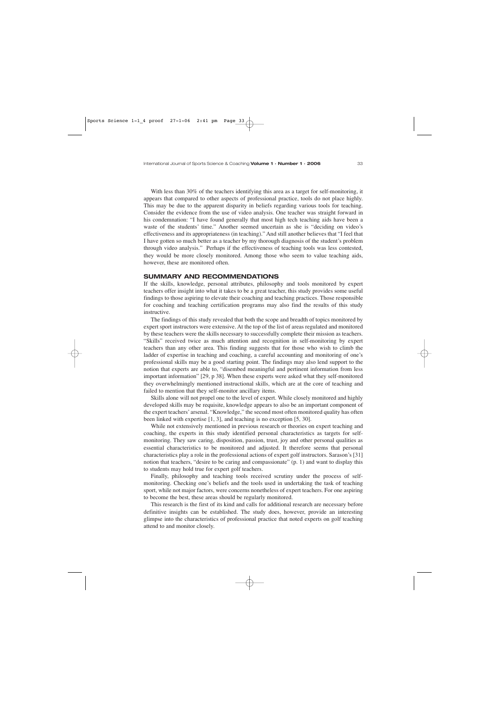Sports Science 1-1\_4 proof 27-1-06 2:41 pm

International Journal of Sports Science & Coaching Volume 1 · Number 1 · 2006

With less than 30% of the teachers identifying this area as a target for self-monitoring, it appears that compared to other aspects of professional practice, tools do not place highly. This may be due to the apparent disparity in beliefs regarding various tools for teaching. Consider the evidence from the use of video analysis. One teacher was straight forward in his condemnation: "I have found generally that most high tech teaching aids have been a waste of the students' time." Another seemed uncertain as she is "deciding on video's effectiveness and its appropriateness (in teaching)." And still another believes that "I feel that I have gotten so much better as a teacher by my thorough diagnosis of the student's problem through video analysis." Perhaps if the effectiveness of teaching tools was less contested, they would be more closely monitored. Among those who seem to value teaching aids, however, these are monitored often.

#### **SUMMARY AND RECOMMENDATIONS**

If the skills, knowledge, personal attributes, philosophy and tools monitored by expert teachers offer insight into what it takes to be a great teacher, this study provides some useful findings to those aspiring to elevate their coaching and teaching practices. Those responsible for coaching and teaching certification programs may also find the results of this study instructive.

The findings of this study revealed that both the scope and breadth of topics monitored by expert sport instructors were extensive. At the top of the list of areas regulated and monitored by these teachers were the skills necessary to successfully complete their mission as teachers. "Skills" received twice as much attention and recognition in self-monitoring by expert teachers than any other area. This finding suggests that for those who wish to climb the ladder of expertise in teaching and coaching, a careful accounting and monitoring of one's professional skills may be a good starting point. The findings may also lend support to the notion that experts are able to, "disembed meaningful and pertinent information from less important information" [29, p 38]. When these experts were asked what they self-monitored they overwhelmingly mentioned instructional skills, which are at the core of teaching and failed to mention that they self-monitor ancillary items.

Skills alone will not propel one to the level of expert. While closely monitored and highly developed skills may be requisite, knowledge appears to also be an important component of the expert teachers' arsenal. "Knowledge," the second most often monitored quality has often been linked with expertise  $[1, 3]$ , and teaching is no exception  $[5, 30]$ .

While not extensively mentioned in previous research or theories on expert teaching and coaching, the experts in this study identified personal characteristics as targets for selfmonitoring. They saw caring, disposition, passion, trust, joy and other personal qualities as essential characteristics to be monitored and adjusted. It therefore seems that personal characteristics play a role in the professional actions of expert golf instructors. Sarason's [31] notion that teachers, "desire to be caring and compassionate" (p. 1) and want to display this to students may hold true for expert golf teachers.

Finally, philosophy and teaching tools received scrutiny under the process of selfmonitoring. Checking one's beliefs and the tools used in undertaking the task of teaching sport, while not major factors, were concerns nonetheless of expert teachers. For one aspiring to become the best, these areas should be regularly monitored.

This research is the first of its kind and calls for additional research are necessary before definitive insights can be established. The study does, however, provide an interesting glimpse into the characteristics of professional practice that noted experts on golf teaching attend to and monitor closely.

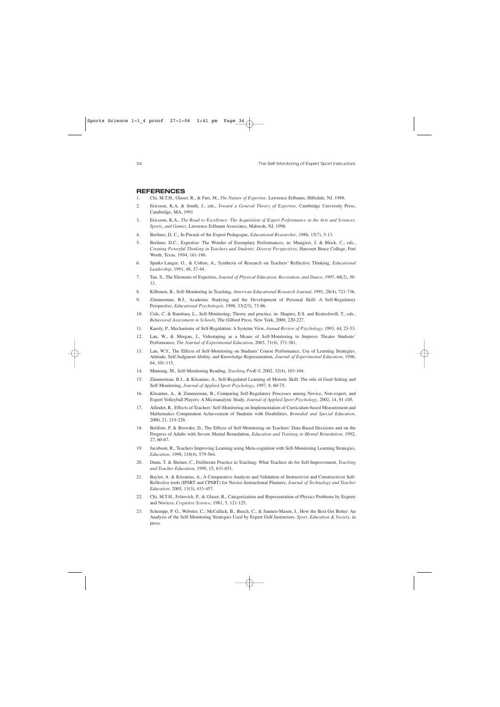Sports Science 1-1\_4 proof 27-1-06 2:41 pm Page

The Self-Monitoring of Expert Sport Instructors

#### **REFERENCES**

- Chi, M.T.H., Glaser, R., & Farr, M., The Nature of Expertise. Lawrence Erlbaum, Hillsdale, NJ, 1988. 1.
- 2. Ericsson, K.A. & Smith, J., eds., Toward a General Theory of Expertise, Cambridge University Press, Cambridge, MA, 1991
- Ericsson, K.A., The Road to Excellence: The Acquisition of Expert Performance in the Arts and Sciences, 3. Sports, and Games, Lawrence Erlbaum Associates, Mahwah, NJ, 1996.
- Berliner, D. C., In Pursuit of the Expert Pedagogue, Educational Researcher, 1986, 15(7), 5-13. 4.
- Berliner, D.C., Expertise: The Wonder of Exemplary Performances, in: Mangieri, J. & Block, C., eds.,  $5<sub>1</sub>$ Creating Powerful Thinking in Teachers and Students: Diverse Perspectives, Harcourt Brace College, Fort Worth, Texas, 1994, 161-186.
- Sparks-Langer, G., & Colton, A., Synthesis of Research on Teachers' Reflective Thinking, Educational 6. Leadership, 1991, 48, 37-44.
- 7. Tan, S., The Elements of Expertise, Journal of Physical Education, Recreation, and Dance, 1997, 68(2), 30-33.
- Kilbourn, B., Self-Monitoring in Teaching, American Educational Research Journal, 1991, 28(4), 721-736. 8.
- Zimmerman, B.J., Academic Studying and the Development of Personal Skill: A Self-Regulatory 9. Perspective, Educational Psychologist, 1998, 33(2/3), 73-86.
- Cole, C. & Bambara, L., Self-Monitoring: Theory and practice, in: Shapiro, E.S. and Kratochwill, T., eds.,  $10.$ Behavioral Assessment in Schools, The Gilford Press, New York, 2000, 220-227.
- Karoly, P., Mechanisms of Self-Regulation: A Systems View, Annual Review of Psychology, 1993, 44, 23-53.  $11.$
- Lan, W., & Morgan, J., Videotaping as a Means of Self-Monitoring to Improve Theater Students' 12. Performance, The Journal of Experimental Education, 2003, 71(4), 371-381.
- 13. Lan, W.Y., The Effects of Self-Monitoring on Students' Course Performance, Use of Learning Strategies, Attitude, Self-Judgment Ability, and Knowledge Representation, Journal of Experimental Education, 1996, 64, 101-115.
- $14.$ Manning, M., Self-Monitoring Reading, Teaching PreK-8, 2002, 32(4), 103-104.
- 15. Zimmerman, B.J., & Kitsantas, A., Self-Regulated Learning of Motoric Skill: The role of Goal Setting and Self-Monitoring, Journal of Applied Sport Psychology, 1997, 8, 60-75.
- Kitsantas, A., & Zimmerman, B., Comparing Self-Regulatory Processes among Novice, Non-expert, and 16. Expert Volleyball Players: A Microanalytic Study, Journal of Applied Sport Psychology, 2002, 14, 91-105.
- 17. Allinder, R., Effects of Teachers' Self-Monitoring on Implementation of Curriculum-based Measurement and Mathematics Computation Achievement of Students with Disabilities, Remedial and Special Education, 2000, 21, 219-228.
- Belifore, P. & Browder, D., The Effects of Self-Monitoring on Teachers' Data-Based Decisions and on the 18. Progress of Adults with Severe Mental Retardation, Education and Training in Mental Retardation, 1992, 27, 60-67.
- Jacobson, R., Teachers Improving Learning using Meta-cognition with Self-Monitoring Learning Strategies, 19. Education, 1998, 118(4), 579-564.
- Dunn, T. & Shriner, C., Deliberate Practice in Teaching: What Teachers do for Self-Improvement, Teaching 20. and Teacher Education, 1999, 15, 631-651.
- Baylor, A. & Kitsantas, A., A Comparative Analysis and Validation of Instructivist and Constructivist Self-21. Reflective tools (IPSRT and CPSRT) for Novice Instructional Planners, Journal of Technology and Teacher Education, 2005, 13(3), 433-457.
- Chi, M.T.H., Feltovich, P., & Glaser, R., Categorization and Representation of Physics Problems by Experts 22. and Novices, Cognitive Science, 1981, 5, 121-125.
- Schempp, P. G., Webster, C.; McCullick, B., Busch, C., & Sannen-Mason, I., How the Best Get Better: An 23. Analysis of the Self-Monitoring Strategies Used by Expert Golf Instructors. Sport, Education & Society, in press.

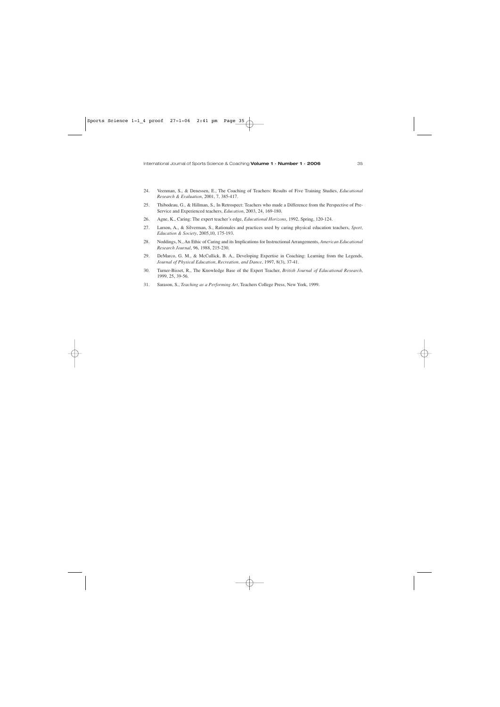Sports Science 1-1\_4 proof 27-1-06 2:41 pm Page 35

#### International Journal of Sports Science & Coaching Volume 1 · Number 1 · 2006

Veenman, S., & Denessen, E., The Coaching of Teachers: Results of Five Training Studies, Educational 24. Research & Evaluation, 2001, 7, 385-417.

- 25. Thibodeau, G., & Hillman, S., In Retrospect: Teachers who made a Difference from the Perspective of Pre-Service and Experienced teachers, Education, 2003, 24, 169-180.
- 26. Agne, K., Caring: The expert teacher's edge, Educational Horizons, 1992, Spring, 120-124.
- 27. Larson, A., & Silverman, S., Rationales and practices used by caring physical education teachers, Sport, Education & Society, 2005,10, 175-193.
- Noddings, N., An Ethic of Caring and its Implications for Instructional Arrangements, American Educational 28. Research Journal, 96, 1988, 215-230.
- 29. DeMarco, G. M., & McCullick, B. A., Developing Expertise in Coaching: Learning from the Legends, Journal of Physical Education, Recreation, and Dance, 1997, 8(3), 37-41.
- 30. Turner-Bisset, R., The Knowledge Base of the Expert Teacher, British Journal of Educational Research, 1999, 25, 39-56.
- 31. Sarason, S., Teaching as a Performing Art, Teachers College Press, New York, 1999.